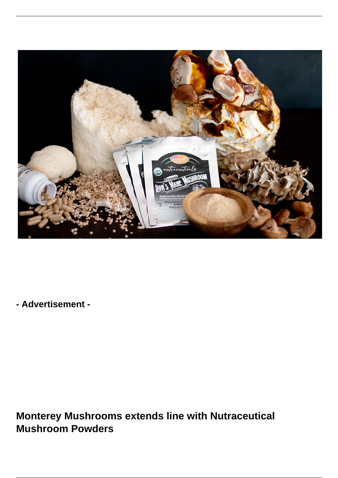

**- Advertisement -**

**Monterey Mushrooms extends line with Nutraceutical Mushroom Powders**